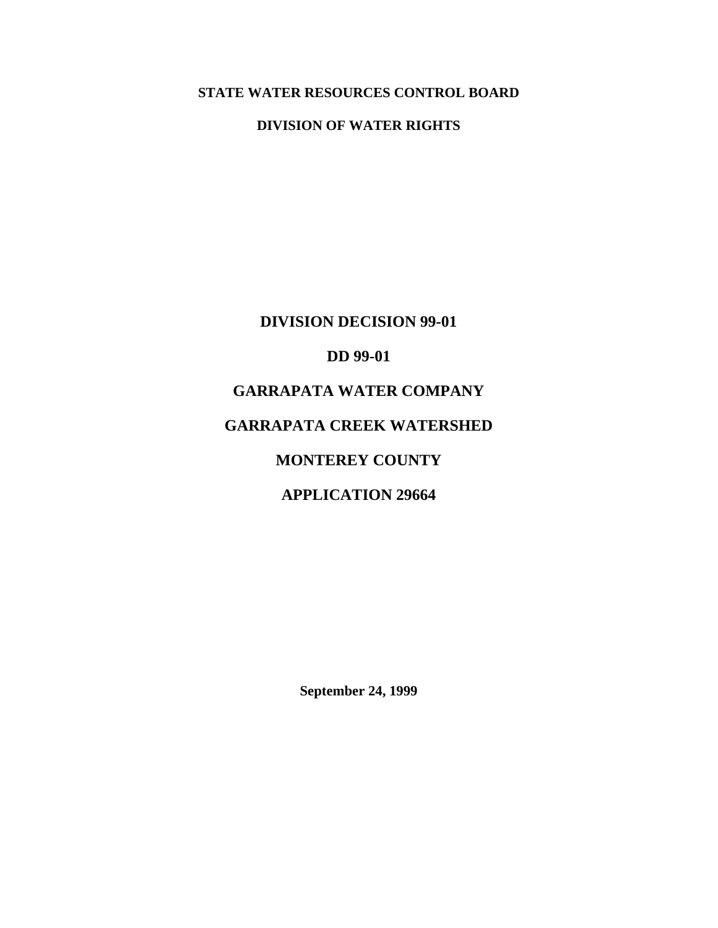# **STATE WATER RESOURCES CONTROL BOARD**

### **DIVISION OF WATER RIGHTS**

**DIVISION DECISION 99-01 DD 99-01 GARRAPATA WATER COMPANY GARRAPATA CREEK WATERSHED MONTEREY COUNTY APPLICATION 29664** 

**September 24, 1999**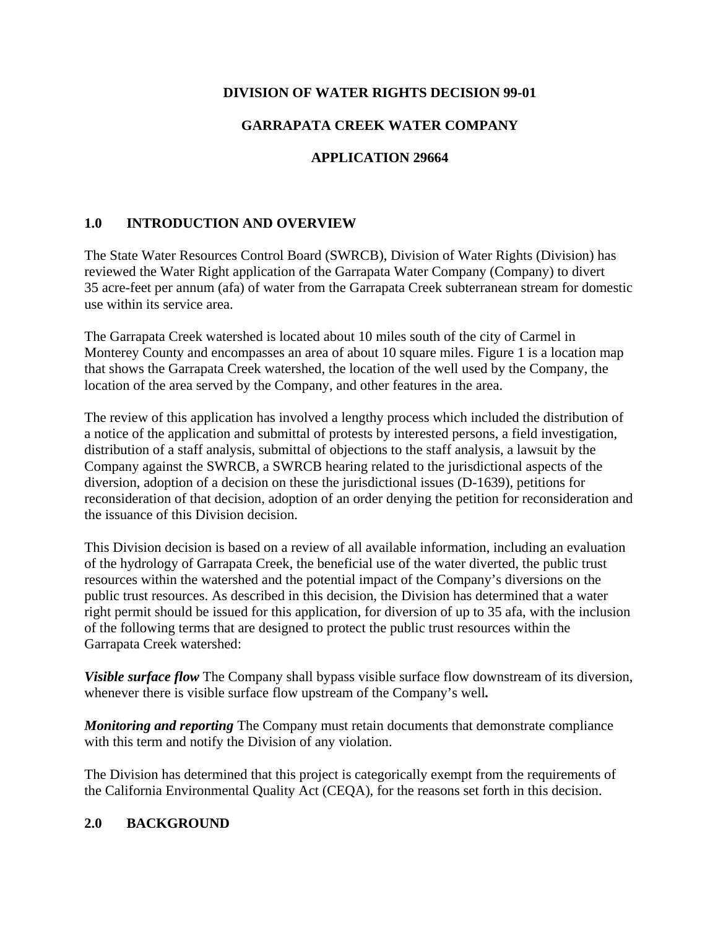### **DIVISION OF WATER RIGHTS DECISION 99-01**

## **GARRAPATA CREEK WATER COMPANY**

### **APPLICATION 29664**

### **1.0 INTRODUCTION AND OVERVIEW**

The State Water Resources Control Board (SWRCB), Division of Water Rights (Division) has reviewed the Water Right application of the Garrapata Water Company (Company) to divert 35 acre-feet per annum (afa) of water from the Garrapata Creek subterranean stream for domestic use within its service area.

The Garrapata Creek watershed is located about 10 miles south of the city of Carmel in Monterey County and encompasses an area of about 10 square miles. Figure 1 is a location map that shows the Garrapata Creek watershed, the location of the well used by the Company, the location of the area served by the Company, and other features in the area.

The review of this application has involved a lengthy process which included the distribution of a notice of the application and submittal of protests by interested persons, a field investigation, distribution of a staff analysis, submittal of objections to the staff analysis, a lawsuit by the Company against the SWRCB, a SWRCB hearing related to the jurisdictional aspects of the diversion, adoption of a decision on these the jurisdictional issues (D-1639), petitions for reconsideration of that decision, adoption of an order denying the petition for reconsideration and the issuance of this Division decision.

This Division decision is based on a review of all available information, including an evaluation of the hydrology of Garrapata Creek, the beneficial use of the water diverted, the public trust resources within the watershed and the potential impact of the Company's diversions on the public trust resources. As described in this decision, the Division has determined that a water right permit should be issued for this application, for diversion of up to 35 afa, with the inclusion of the following terms that are designed to protect the public trust resources within the Garrapata Creek watershed:

*Visible surface flow* The Company shall bypass visible surface flow downstream of its diversion, whenever there is visible surface flow upstream of the Company's well*.* 

*Monitoring and reporting* The Company must retain documents that demonstrate compliance with this term and notify the Division of any violation.

The Division has determined that this project is categorically exempt from the requirements of the California Environmental Quality Act (CEQA), for the reasons set forth in this decision.

### **2.0 BACKGROUND**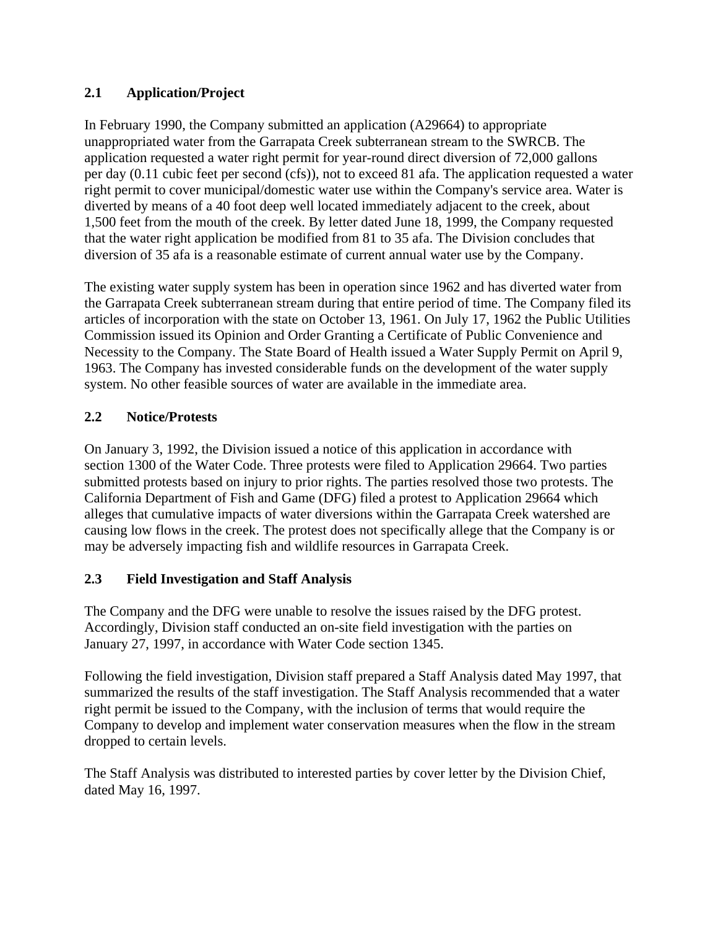## **2.1 Application/Project**

In February 1990, the Company submitted an application (A29664) to appropriate unappropriated water from the Garrapata Creek subterranean stream to the SWRCB. The application requested a water right permit for year-round direct diversion of 72,000 gallons per day (0.11 cubic feet per second (cfs)), not to exceed 81 afa. The application requested a water right permit to cover municipal/domestic water use within the Company's service area. Water is diverted by means of a 40 foot deep well located immediately adjacent to the creek, about 1,500 feet from the mouth of the creek. By letter dated June 18, 1999, the Company requested that the water right application be modified from 81 to 35 afa. The Division concludes that diversion of 35 afa is a reasonable estimate of current annual water use by the Company.

The existing water supply system has been in operation since 1962 and has diverted water from the Garrapata Creek subterranean stream during that entire period of time. The Company filed its articles of incorporation with the state on October 13, 1961. On July 17, 1962 the Public Utilities Commission issued its Opinion and Order Granting a Certificate of Public Convenience and Necessity to the Company. The State Board of Health issued a Water Supply Permit on April 9, 1963. The Company has invested considerable funds on the development of the water supply system. No other feasible sources of water are available in the immediate area.

### **2.2 Notice/Protests**

On January 3, 1992, the Division issued a notice of this application in accordance with section 1300 of the Water Code. Three protests were filed to Application 29664. Two parties submitted protests based on injury to prior rights. The parties resolved those two protests. The California Department of Fish and Game (DFG) filed a protest to Application 29664 which alleges that cumulative impacts of water diversions within the Garrapata Creek watershed are causing low flows in the creek. The protest does not specifically allege that the Company is or may be adversely impacting fish and wildlife resources in Garrapata Creek.

### **2.3 Field Investigation and Staff Analysis**

The Company and the DFG were unable to resolve the issues raised by the DFG protest. Accordingly, Division staff conducted an on-site field investigation with the parties on January 27, 1997, in accordance with Water Code section 1345.

Following the field investigation, Division staff prepared a Staff Analysis dated May 1997, that summarized the results of the staff investigation. The Staff Analysis recommended that a water right permit be issued to the Company, with the inclusion of terms that would require the Company to develop and implement water conservation measures when the flow in the stream dropped to certain levels.

The Staff Analysis was distributed to interested parties by cover letter by the Division Chief, dated May 16, 1997.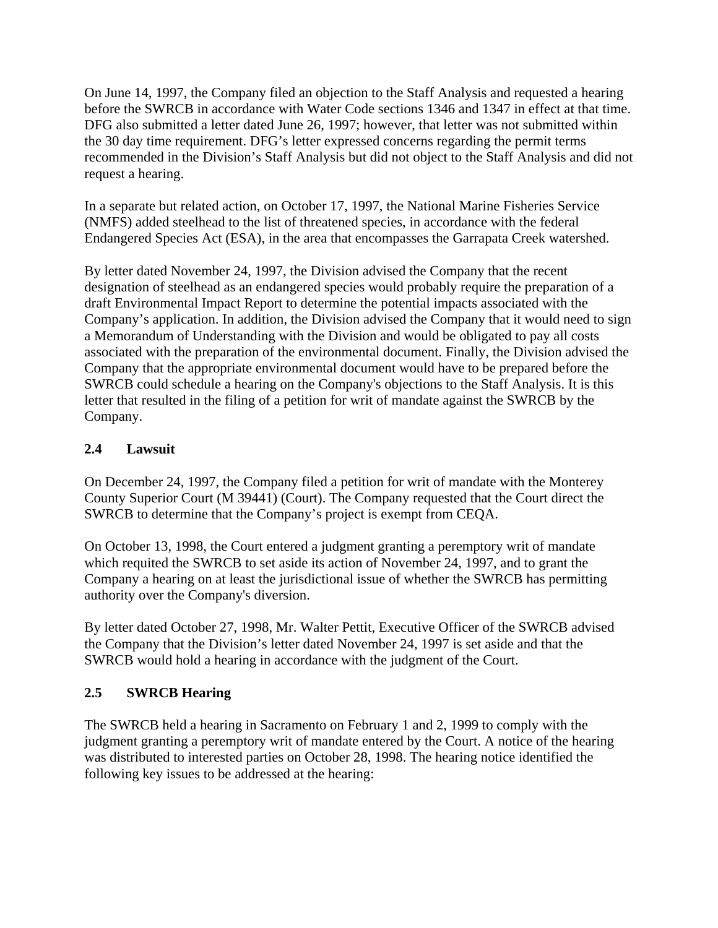On June 14, 1997, the Company filed an objection to the Staff Analysis and requested a hearing before the SWRCB in accordance with Water Code sections 1346 and 1347 in effect at that time. DFG also submitted a letter dated June 26, 1997; however, that letter was not submitted within the 30 day time requirement. DFG's letter expressed concerns regarding the permit terms recommended in the Division's Staff Analysis but did not object to the Staff Analysis and did not request a hearing.

In a separate but related action, on October 17, 1997, the National Marine Fisheries Service (NMFS) added steelhead to the list of threatened species, in accordance with the federal Endangered Species Act (ESA), in the area that encompasses the Garrapata Creek watershed.

By letter dated November 24, 1997, the Division advised the Company that the recent designation of steelhead as an endangered species would probably require the preparation of a draft Environmental Impact Report to determine the potential impacts associated with the Company's application. In addition, the Division advised the Company that it would need to sign a Memorandum of Understanding with the Division and would be obligated to pay all costs associated with the preparation of the environmental document. Finally, the Division advised the Company that the appropriate environmental document would have to be prepared before the SWRCB could schedule a hearing on the Company's objections to the Staff Analysis. It is this letter that resulted in the filing of a petition for writ of mandate against the SWRCB by the Company.

## **2.4 Lawsuit**

On December 24, 1997, the Company filed a petition for writ of mandate with the Monterey County Superior Court (M 39441) (Court). The Company requested that the Court direct the SWRCB to determine that the Company's project is exempt from CEQA.

On October 13, 1998, the Court entered a judgment granting a peremptory writ of mandate which requited the SWRCB to set aside its action of November 24, 1997, and to grant the Company a hearing on at least the jurisdictional issue of whether the SWRCB has permitting authority over the Company's diversion.

By letter dated October 27, 1998, Mr. Walter Pettit, Executive Officer of the SWRCB advised the Company that the Division's letter dated November 24, 1997 is set aside and that the SWRCB would hold a hearing in accordance with the judgment of the Court.

## **2.5 SWRCB Hearing**

The SWRCB held a hearing in Sacramento on February 1 and 2, 1999 to comply with the judgment granting a peremptory writ of mandate entered by the Court. A notice of the hearing was distributed to interested parties on October 28, 1998. The hearing notice identified the following key issues to be addressed at the hearing: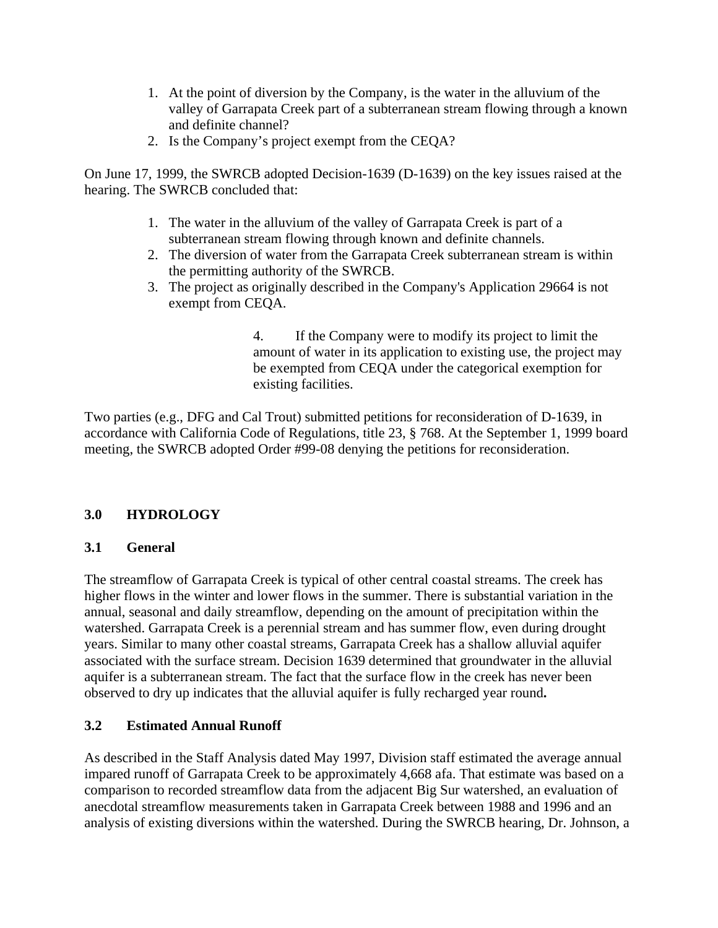- 1. At the point of diversion by the Company, is the water in the alluvium of the valley of Garrapata Creek part of a subterranean stream flowing through a known and definite channel?
- 2. Is the Company's project exempt from the CEQA?

On June 17, 1999, the SWRCB adopted Decision-1639 (D-1639) on the key issues raised at the hearing. The SWRCB concluded that:

- 1. The water in the alluvium of the valley of Garrapata Creek is part of a subterranean stream flowing through known and definite channels.
- 2. The diversion of water from the Garrapata Creek subterranean stream is within the permitting authority of the SWRCB.
- 3. The project as originally described in the Company's Application 29664 is not exempt from CEQA.

4. If the Company were to modify its project to limit the amount of water in its application to existing use, the project may be exempted from CEQA under the categorical exemption for existing facilities.

Two parties (e.g., DFG and Cal Trout) submitted petitions for reconsideration of D-1639, in accordance with California Code of Regulations, title 23, § 768. At the September 1, 1999 board meeting, the SWRCB adopted Order #99-08 denying the petitions for reconsideration.

## **3.0 HYDROLOGY**

### **3.1 General**

The streamflow of Garrapata Creek is typical of other central coastal streams. The creek has higher flows in the winter and lower flows in the summer. There is substantial variation in the annual, seasonal and daily streamflow, depending on the amount of precipitation within the watershed. Garrapata Creek is a perennial stream and has summer flow, even during drought years. Similar to many other coastal streams, Garrapata Creek has a shallow alluvial aquifer associated with the surface stream. Decision 1639 determined that groundwater in the alluvial aquifer is a subterranean stream. The fact that the surface flow in the creek has never been observed to dry up indicates that the alluvial aquifer is fully recharged year round**.** 

### **3.2 Estimated Annual Runoff**

As described in the Staff Analysis dated May 1997, Division staff estimated the average annual impared runoff of Garrapata Creek to be approximately 4,668 afa. That estimate was based on a comparison to recorded streamflow data from the adjacent Big Sur watershed, an evaluation of anecdotal streamflow measurements taken in Garrapata Creek between 1988 and 1996 and an analysis of existing diversions within the watershed. During the SWRCB hearing, Dr. Johnson, a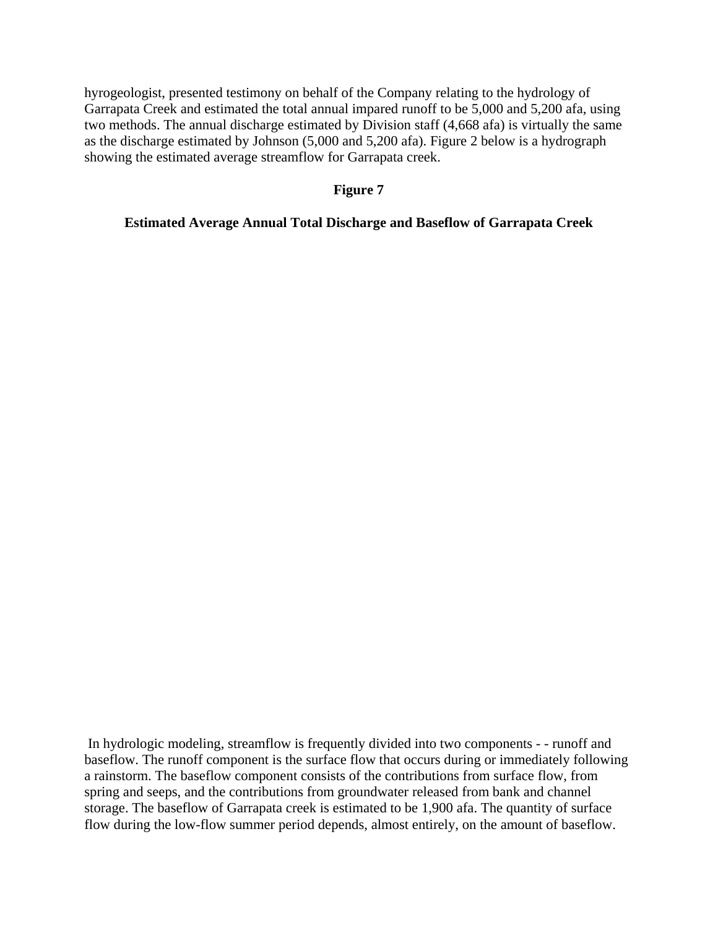hyrogeologist, presented testimony on behalf of the Company relating to the hydrology of Garrapata Creek and estimated the total annual impared runoff to be 5,000 and 5,200 afa, using two methods. The annual discharge estimated by Division staff (4,668 afa) is virtually the same as the discharge estimated by Johnson (5,000 and 5,200 afa). Figure 2 below is a hydrograph showing the estimated average streamflow for Garrapata creek.

### **Figure 7**

#### **Estimated Average Annual Total Discharge and Baseflow of Garrapata Creek**

 In hydrologic modeling, streamflow is frequently divided into two components - - runoff and baseflow. The runoff component is the surface flow that occurs during or immediately following a rainstorm. The baseflow component consists of the contributions from surface flow, from spring and seeps, and the contributions from groundwater released from bank and channel storage. The baseflow of Garrapata creek is estimated to be 1,900 afa. The quantity of surface flow during the low-flow summer period depends, almost entirely, on the amount of baseflow.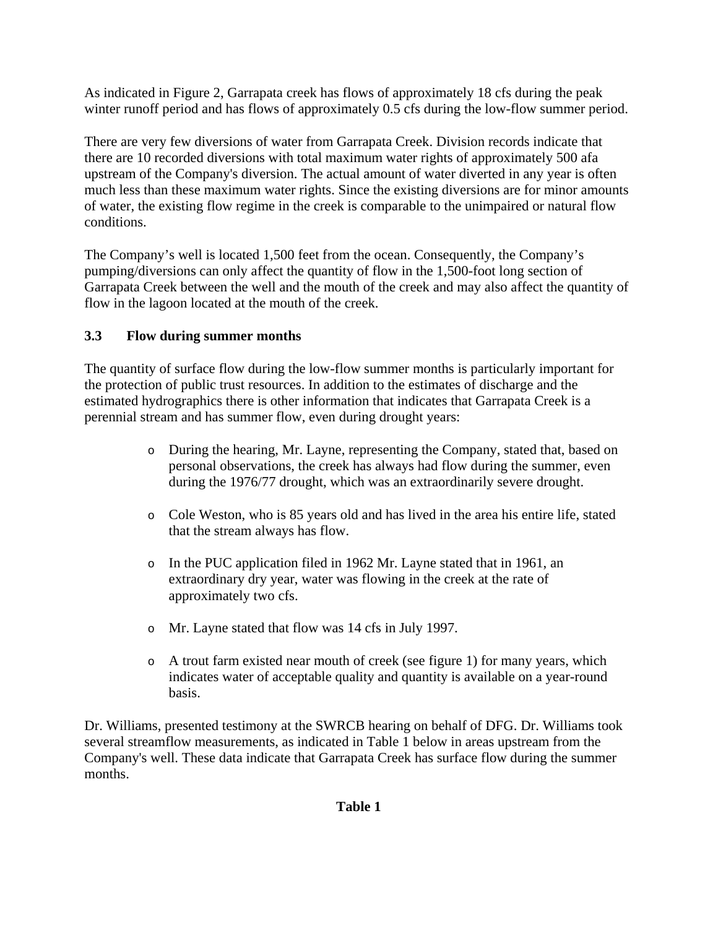As indicated in Figure 2, Garrapata creek has flows of approximately 18 cfs during the peak winter runoff period and has flows of approximately 0.5 cfs during the low-flow summer period.

There are very few diversions of water from Garrapata Creek. Division records indicate that there are 10 recorded diversions with total maximum water rights of approximately 500 afa upstream of the Company's diversion. The actual amount of water diverted in any year is often much less than these maximum water rights. Since the existing diversions are for minor amounts of water, the existing flow regime in the creek is comparable to the unimpaired or natural flow conditions.

The Company's well is located 1,500 feet from the ocean. Consequently, the Company's pumping/diversions can only affect the quantity of flow in the 1,500-foot long section of Garrapata Creek between the well and the mouth of the creek and may also affect the quantity of flow in the lagoon located at the mouth of the creek.

## **3.3 Flow during summer months**

The quantity of surface flow during the low-flow summer months is particularly important for the protection of public trust resources. In addition to the estimates of discharge and the estimated hydrographics there is other information that indicates that Garrapata Creek is a perennial stream and has summer flow, even during drought years:

- o During the hearing, Mr. Layne, representing the Company, stated that, based on personal observations, the creek has always had flow during the summer, even during the 1976/77 drought, which was an extraordinarily severe drought.
- o Cole Weston, who is 85 years old and has lived in the area his entire life, stated that the stream always has flow.
- o In the PUC application filed in 1962 Mr. Layne stated that in 1961, an extraordinary dry year, water was flowing in the creek at the rate of approximately two cfs.
- o Mr. Layne stated that flow was 14 cfs in July 1997.
- o A trout farm existed near mouth of creek (see figure 1) for many years, which indicates water of acceptable quality and quantity is available on a year-round basis.

Dr. Williams, presented testimony at the SWRCB hearing on behalf of DFG. Dr. Williams took several streamflow measurements, as indicated in Table 1 below in areas upstream from the Company's well. These data indicate that Garrapata Creek has surface flow during the summer months.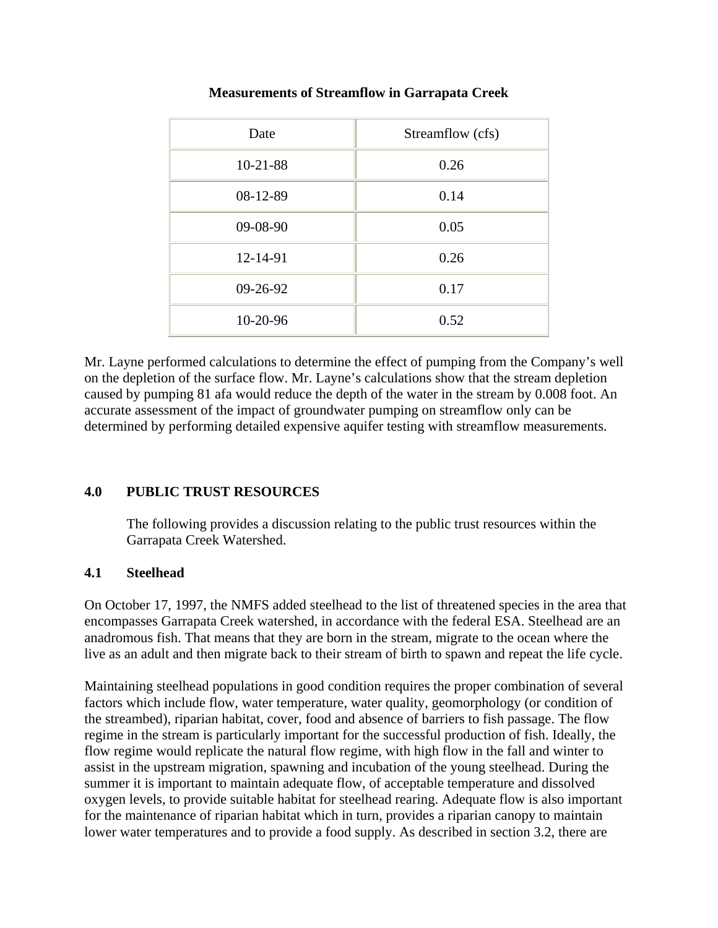| Date       | Streamflow (cfs) |
|------------|------------------|
| $10-21-88$ | 0.26             |
| 08-12-89   | 0.14             |
| 09-08-90   | 0.05             |
| 12-14-91   | 0.26             |
| 09-26-92   | 0.17             |
| 10-20-96   | 0.52             |

### **Measurements of Streamflow in Garrapata Creek**

Mr. Layne performed calculations to determine the effect of pumping from the Company's well on the depletion of the surface flow. Mr. Layne's calculations show that the stream depletion caused by pumping 81 afa would reduce the depth of the water in the stream by 0.008 foot. An accurate assessment of the impact of groundwater pumping on streamflow only can be determined by performing detailed expensive aquifer testing with streamflow measurements.

### **4.0 PUBLIC TRUST RESOURCES**

The following provides a discussion relating to the public trust resources within the Garrapata Creek Watershed.

### **4.1 Steelhead**

On October 17, 1997, the NMFS added steelhead to the list of threatened species in the area that encompasses Garrapata Creek watershed, in accordance with the federal ESA. Steelhead are an anadromous fish. That means that they are born in the stream, migrate to the ocean where the live as an adult and then migrate back to their stream of birth to spawn and repeat the life cycle.

Maintaining steelhead populations in good condition requires the proper combination of several factors which include flow, water temperature, water quality, geomorphology (or condition of the streambed), riparian habitat, cover, food and absence of barriers to fish passage. The flow regime in the stream is particularly important for the successful production of fish. Ideally, the flow regime would replicate the natural flow regime, with high flow in the fall and winter to assist in the upstream migration, spawning and incubation of the young steelhead. During the summer it is important to maintain adequate flow, of acceptable temperature and dissolved oxygen levels, to provide suitable habitat for steelhead rearing. Adequate flow is also important for the maintenance of riparian habitat which in turn, provides a riparian canopy to maintain lower water temperatures and to provide a food supply. As described in section 3.2, there are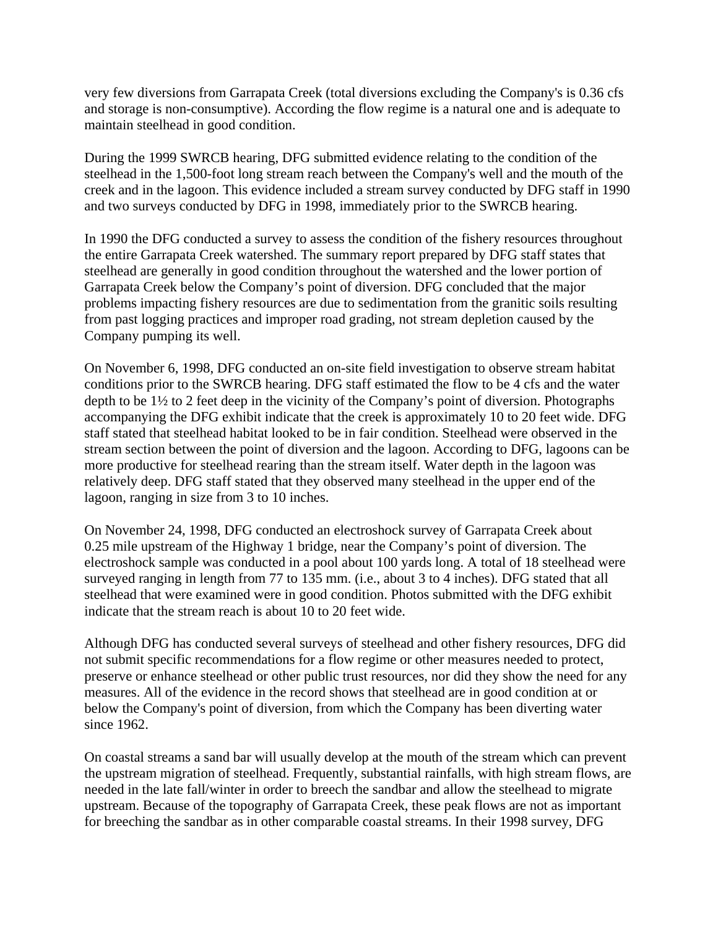very few diversions from Garrapata Creek (total diversions excluding the Company's is 0.36 cfs and storage is non-consumptive). According the flow regime is a natural one and is adequate to maintain steelhead in good condition.

During the 1999 SWRCB hearing, DFG submitted evidence relating to the condition of the steelhead in the 1,500-foot long stream reach between the Company's well and the mouth of the creek and in the lagoon. This evidence included a stream survey conducted by DFG staff in 1990 and two surveys conducted by DFG in 1998, immediately prior to the SWRCB hearing.

In 1990 the DFG conducted a survey to assess the condition of the fishery resources throughout the entire Garrapata Creek watershed. The summary report prepared by DFG staff states that steelhead are generally in good condition throughout the watershed and the lower portion of Garrapata Creek below the Company's point of diversion. DFG concluded that the major problems impacting fishery resources are due to sedimentation from the granitic soils resulting from past logging practices and improper road grading, not stream depletion caused by the Company pumping its well.

On November 6, 1998, DFG conducted an on-site field investigation to observe stream habitat conditions prior to the SWRCB hearing. DFG staff estimated the flow to be 4 cfs and the water depth to be 1½ to 2 feet deep in the vicinity of the Company's point of diversion. Photographs accompanying the DFG exhibit indicate that the creek is approximately 10 to 20 feet wide. DFG staff stated that steelhead habitat looked to be in fair condition. Steelhead were observed in the stream section between the point of diversion and the lagoon. According to DFG, lagoons can be more productive for steelhead rearing than the stream itself. Water depth in the lagoon was relatively deep. DFG staff stated that they observed many steelhead in the upper end of the lagoon, ranging in size from 3 to 10 inches.

On November 24, 1998, DFG conducted an electroshock survey of Garrapata Creek about 0.25 mile upstream of the Highway 1 bridge, near the Company's point of diversion. The electroshock sample was conducted in a pool about 100 yards long. A total of 18 steelhead were surveyed ranging in length from 77 to 135 mm. (i.e., about 3 to 4 inches). DFG stated that all steelhead that were examined were in good condition. Photos submitted with the DFG exhibit indicate that the stream reach is about 10 to 20 feet wide.

Although DFG has conducted several surveys of steelhead and other fishery resources, DFG did not submit specific recommendations for a flow regime or other measures needed to protect, preserve or enhance steelhead or other public trust resources, nor did they show the need for any measures. All of the evidence in the record shows that steelhead are in good condition at or below the Company's point of diversion, from which the Company has been diverting water since 1962.

On coastal streams a sand bar will usually develop at the mouth of the stream which can prevent the upstream migration of steelhead. Frequently, substantial rainfalls, with high stream flows, are needed in the late fall/winter in order to breech the sandbar and allow the steelhead to migrate upstream. Because of the topography of Garrapata Creek, these peak flows are not as important for breeching the sandbar as in other comparable coastal streams. In their 1998 survey, DFG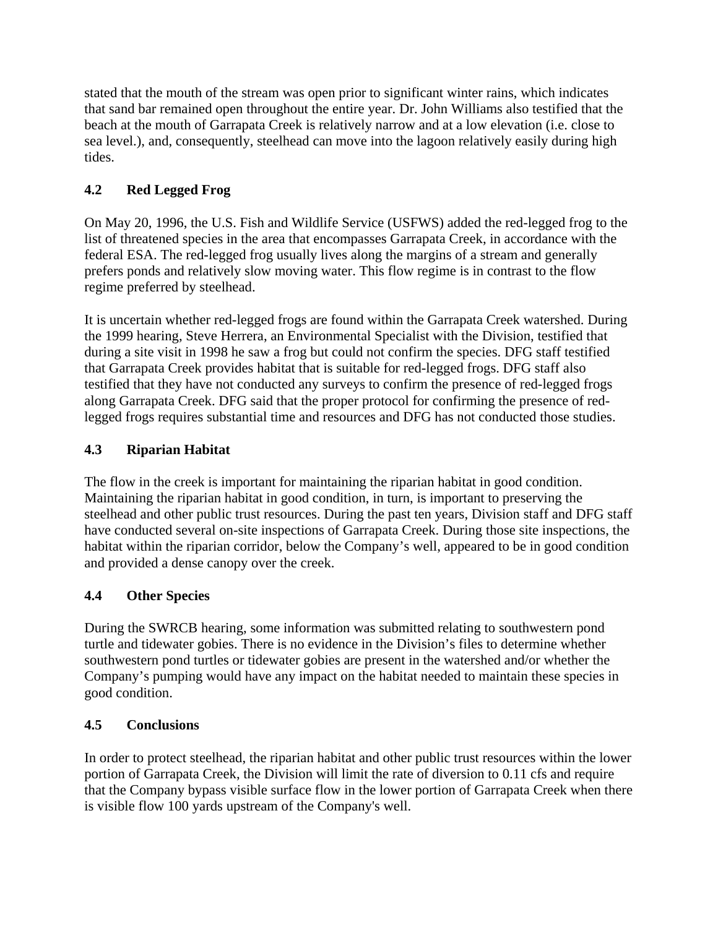stated that the mouth of the stream was open prior to significant winter rains, which indicates that sand bar remained open throughout the entire year. Dr. John Williams also testified that the beach at the mouth of Garrapata Creek is relatively narrow and at a low elevation (i.e. close to sea level.), and, consequently, steelhead can move into the lagoon relatively easily during high tides.

# **4.2 Red Legged Frog**

On May 20, 1996, the U.S. Fish and Wildlife Service (USFWS) added the red-legged frog to the list of threatened species in the area that encompasses Garrapata Creek, in accordance with the federal ESA. The red-legged frog usually lives along the margins of a stream and generally prefers ponds and relatively slow moving water. This flow regime is in contrast to the flow regime preferred by steelhead.

It is uncertain whether red-legged frogs are found within the Garrapata Creek watershed. During the 1999 hearing, Steve Herrera, an Environmental Specialist with the Division, testified that during a site visit in 1998 he saw a frog but could not confirm the species. DFG staff testified that Garrapata Creek provides habitat that is suitable for red-legged frogs. DFG staff also testified that they have not conducted any surveys to confirm the presence of red-legged frogs along Garrapata Creek. DFG said that the proper protocol for confirming the presence of redlegged frogs requires substantial time and resources and DFG has not conducted those studies.

## **4.3 Riparian Habitat**

The flow in the creek is important for maintaining the riparian habitat in good condition. Maintaining the riparian habitat in good condition, in turn, is important to preserving the steelhead and other public trust resources. During the past ten years, Division staff and DFG staff have conducted several on-site inspections of Garrapata Creek. During those site inspections, the habitat within the riparian corridor, below the Company's well, appeared to be in good condition and provided a dense canopy over the creek.

# **4.4 Other Species**

During the SWRCB hearing, some information was submitted relating to southwestern pond turtle and tidewater gobies. There is no evidence in the Division's files to determine whether southwestern pond turtles or tidewater gobies are present in the watershed and/or whether the Company's pumping would have any impact on the habitat needed to maintain these species in good condition.

## **4.5 Conclusions**

In order to protect steelhead, the riparian habitat and other public trust resources within the lower portion of Garrapata Creek, the Division will limit the rate of diversion to 0.11 cfs and require that the Company bypass visible surface flow in the lower portion of Garrapata Creek when there is visible flow 100 yards upstream of the Company's well.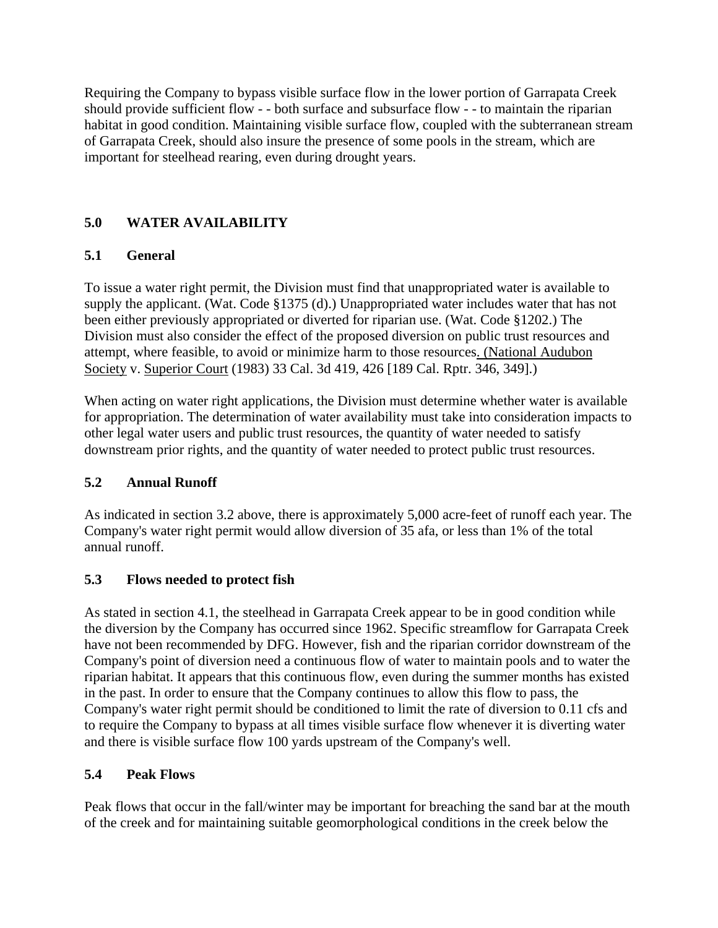Requiring the Company to bypass visible surface flow in the lower portion of Garrapata Creek should provide sufficient flow - - both surface and subsurface flow - - to maintain the riparian habitat in good condition. Maintaining visible surface flow, coupled with the subterranean stream of Garrapata Creek, should also insure the presence of some pools in the stream, which are important for steelhead rearing, even during drought years.

## **5.0 WATER AVAILABILITY**

## **5.1 General**

To issue a water right permit, the Division must find that unappropriated water is available to supply the applicant. (Wat. Code §1375 (d).) Unappropriated water includes water that has not been either previously appropriated or diverted for riparian use. (Wat. Code §1202.) The Division must also consider the effect of the proposed diversion on public trust resources and attempt, where feasible, to avoid or minimize harm to those resources. (National Audubon Society v. Superior Court (1983) 33 Cal. 3d 419, 426 [189 Cal. Rptr. 346, 349].)

When acting on water right applications, the Division must determine whether water is available for appropriation. The determination of water availability must take into consideration impacts to other legal water users and public trust resources, the quantity of water needed to satisfy downstream prior rights, and the quantity of water needed to protect public trust resources.

## **5.2 Annual Runoff**

As indicated in section 3.2 above, there is approximately 5,000 acre-feet of runoff each year. The Company's water right permit would allow diversion of 35 afa, or less than 1% of the total annual runoff.

## **5.3 Flows needed to protect fish**

As stated in section 4.1, the steelhead in Garrapata Creek appear to be in good condition while the diversion by the Company has occurred since 1962. Specific streamflow for Garrapata Creek have not been recommended by DFG. However, fish and the riparian corridor downstream of the Company's point of diversion need a continuous flow of water to maintain pools and to water the riparian habitat. It appears that this continuous flow, even during the summer months has existed in the past. In order to ensure that the Company continues to allow this flow to pass, the Company's water right permit should be conditioned to limit the rate of diversion to 0.11 cfs and to require the Company to bypass at all times visible surface flow whenever it is diverting water and there is visible surface flow 100 yards upstream of the Company's well.

## **5.4 Peak Flows**

Peak flows that occur in the fall/winter may be important for breaching the sand bar at the mouth of the creek and for maintaining suitable geomorphological conditions in the creek below the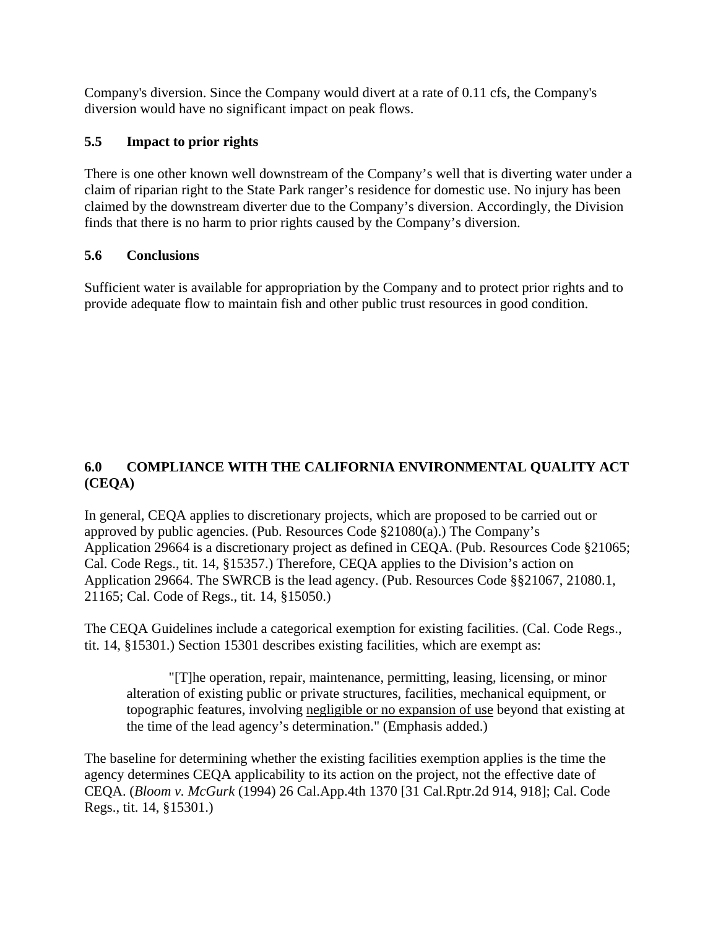Company's diversion. Since the Company would divert at a rate of 0.11 cfs, the Company's diversion would have no significant impact on peak flows.

## **5.5 Impact to prior rights**

There is one other known well downstream of the Company's well that is diverting water under a claim of riparian right to the State Park ranger's residence for domestic use. No injury has been claimed by the downstream diverter due to the Company's diversion. Accordingly, the Division finds that there is no harm to prior rights caused by the Company's diversion.

### **5.6 Conclusions**

Sufficient water is available for appropriation by the Company and to protect prior rights and to provide adequate flow to maintain fish and other public trust resources in good condition.

## **6.0 COMPLIANCE WITH THE CALIFORNIA ENVIRONMENTAL QUALITY ACT (CEQA)**

In general, CEQA applies to discretionary projects, which are proposed to be carried out or approved by public agencies. (Pub. Resources Code §21080(a).) The Company's Application 29664 is a discretionary project as defined in CEQA. (Pub. Resources Code §21065; Cal. Code Regs., tit. 14, §15357.) Therefore, CEQA applies to the Division's action on Application 29664. The SWRCB is the lead agency. (Pub. Resources Code §§21067, 21080.1, 21165; Cal. Code of Regs., tit. 14, §15050.)

The CEQA Guidelines include a categorical exemption for existing facilities. (Cal. Code Regs., tit. 14, §15301.) Section 15301 describes existing facilities, which are exempt as:

 "[T]he operation, repair, maintenance, permitting, leasing, licensing, or minor alteration of existing public or private structures, facilities, mechanical equipment, or topographic features, involving negligible or no expansion of use beyond that existing at the time of the lead agency's determination." (Emphasis added.)

The baseline for determining whether the existing facilities exemption applies is the time the agency determines CEQA applicability to its action on the project, not the effective date of CEQA. (*Bloom v. McGurk* (1994) 26 Cal.App.4th 1370 [31 Cal.Rptr.2d 914, 918]; Cal. Code Regs., tit. 14, §15301.)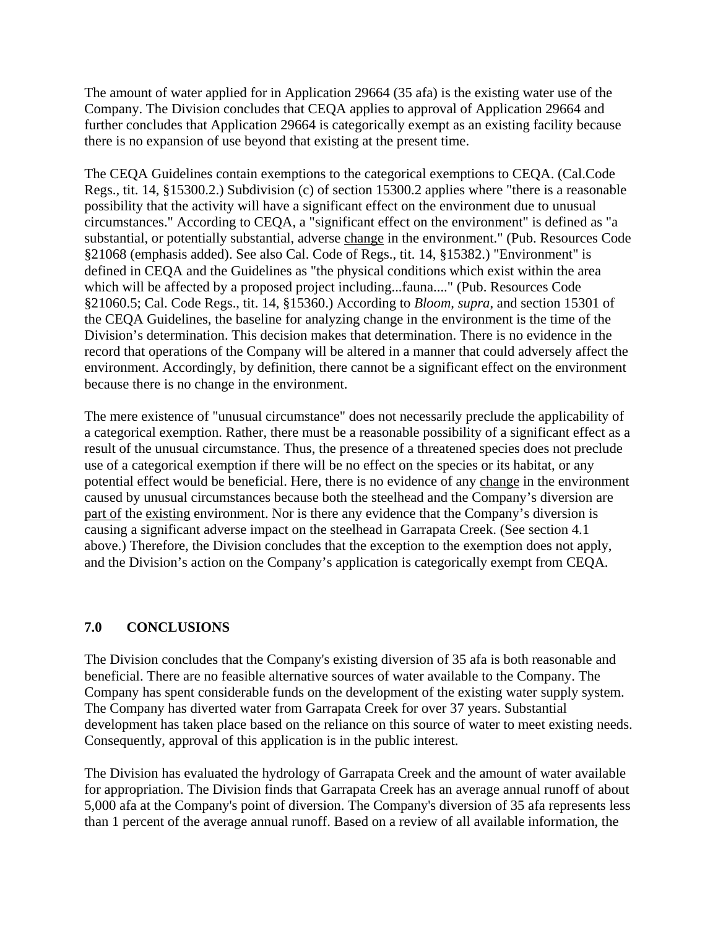The amount of water applied for in Application 29664 (35 afa) is the existing water use of the Company. The Division concludes that CEQA applies to approval of Application 29664 and further concludes that Application 29664 is categorically exempt as an existing facility because there is no expansion of use beyond that existing at the present time.

The CEQA Guidelines contain exemptions to the categorical exemptions to CEQA. (Cal.Code Regs., tit. 14, §15300.2.) Subdivision (c) of section 15300.2 applies where "there is a reasonable possibility that the activity will have a significant effect on the environment due to unusual circumstances." According to CEQA, a "significant effect on the environment" is defined as "a substantial, or potentially substantial, adverse change in the environment." (Pub. Resources Code §21068 (emphasis added). See also Cal. Code of Regs., tit. 14, §15382.) "Environment" is defined in CEQA and the Guidelines as "the physical conditions which exist within the area which will be affected by a proposed project including...fauna...." (Pub. Resources Code §21060.5; Cal. Code Regs., tit. 14, §15360.) According to *Bloom, supra*, and section 15301 of the CEQA Guidelines, the baseline for analyzing change in the environment is the time of the Division's determination. This decision makes that determination. There is no evidence in the record that operations of the Company will be altered in a manner that could adversely affect the environment. Accordingly, by definition, there cannot be a significant effect on the environment because there is no change in the environment.

The mere existence of "unusual circumstance" does not necessarily preclude the applicability of a categorical exemption. Rather, there must be a reasonable possibility of a significant effect as a result of the unusual circumstance. Thus, the presence of a threatened species does not preclude use of a categorical exemption if there will be no effect on the species or its habitat, or any potential effect would be beneficial. Here, there is no evidence of any change in the environment caused by unusual circumstances because both the steelhead and the Company's diversion are part of the existing environment. Nor is there any evidence that the Company's diversion is causing a significant adverse impact on the steelhead in Garrapata Creek. (See section 4.1 above.) Therefore, the Division concludes that the exception to the exemption does not apply, and the Division's action on the Company's application is categorically exempt from CEQA.

### **7.0 CONCLUSIONS**

The Division concludes that the Company's existing diversion of 35 afa is both reasonable and beneficial. There are no feasible alternative sources of water available to the Company. The Company has spent considerable funds on the development of the existing water supply system. The Company has diverted water from Garrapata Creek for over 37 years. Substantial development has taken place based on the reliance on this source of water to meet existing needs. Consequently, approval of this application is in the public interest.

The Division has evaluated the hydrology of Garrapata Creek and the amount of water available for appropriation. The Division finds that Garrapata Creek has an average annual runoff of about 5,000 afa at the Company's point of diversion. The Company's diversion of 35 afa represents less than 1 percent of the average annual runoff. Based on a review of all available information, the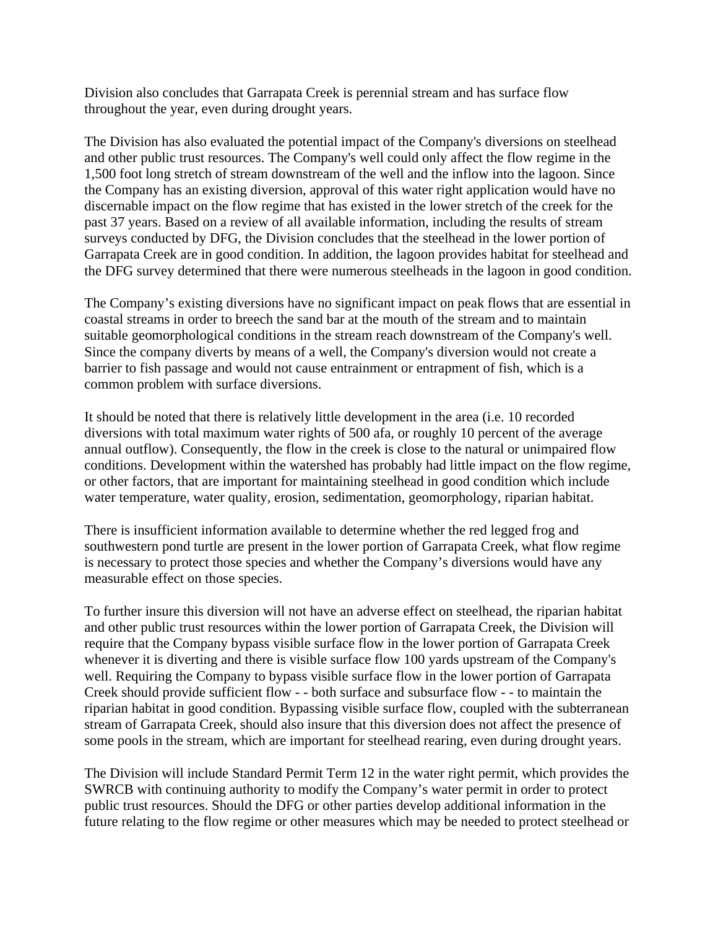Division also concludes that Garrapata Creek is perennial stream and has surface flow throughout the year, even during drought years.

The Division has also evaluated the potential impact of the Company's diversions on steelhead and other public trust resources. The Company's well could only affect the flow regime in the 1,500 foot long stretch of stream downstream of the well and the inflow into the lagoon. Since the Company has an existing diversion, approval of this water right application would have no discernable impact on the flow regime that has existed in the lower stretch of the creek for the past 37 years. Based on a review of all available information, including the results of stream surveys conducted by DFG, the Division concludes that the steelhead in the lower portion of Garrapata Creek are in good condition. In addition, the lagoon provides habitat for steelhead and the DFG survey determined that there were numerous steelheads in the lagoon in good condition.

The Company's existing diversions have no significant impact on peak flows that are essential in coastal streams in order to breech the sand bar at the mouth of the stream and to maintain suitable geomorphological conditions in the stream reach downstream of the Company's well. Since the company diverts by means of a well, the Company's diversion would not create a barrier to fish passage and would not cause entrainment or entrapment of fish, which is a common problem with surface diversions.

It should be noted that there is relatively little development in the area (i.e. 10 recorded diversions with total maximum water rights of 500 afa, or roughly 10 percent of the average annual outflow). Consequently, the flow in the creek is close to the natural or unimpaired flow conditions. Development within the watershed has probably had little impact on the flow regime, or other factors, that are important for maintaining steelhead in good condition which include water temperature, water quality, erosion, sedimentation, geomorphology, riparian habitat.

There is insufficient information available to determine whether the red legged frog and southwestern pond turtle are present in the lower portion of Garrapata Creek, what flow regime is necessary to protect those species and whether the Company's diversions would have any measurable effect on those species.

To further insure this diversion will not have an adverse effect on steelhead, the riparian habitat and other public trust resources within the lower portion of Garrapata Creek, the Division will require that the Company bypass visible surface flow in the lower portion of Garrapata Creek whenever it is diverting and there is visible surface flow 100 yards upstream of the Company's well. Requiring the Company to bypass visible surface flow in the lower portion of Garrapata Creek should provide sufficient flow - - both surface and subsurface flow - - to maintain the riparian habitat in good condition. Bypassing visible surface flow, coupled with the subterranean stream of Garrapata Creek, should also insure that this diversion does not affect the presence of some pools in the stream, which are important for steelhead rearing, even during drought years.

The Division will include Standard Permit Term 12 in the water right permit, which provides the SWRCB with continuing authority to modify the Company's water permit in order to protect public trust resources. Should the DFG or other parties develop additional information in the future relating to the flow regime or other measures which may be needed to protect steelhead or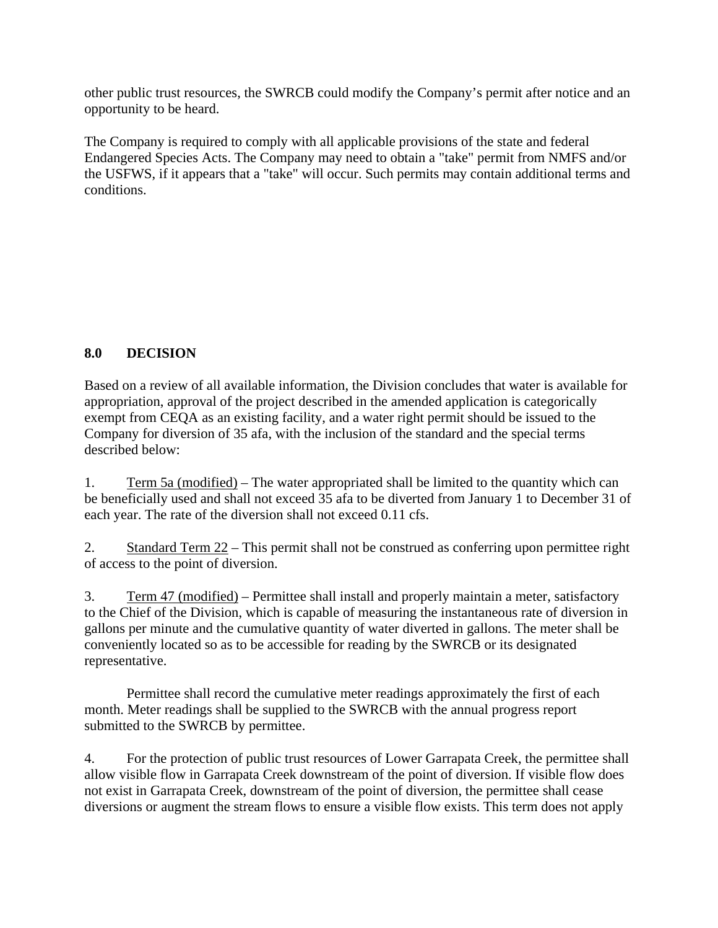other public trust resources, the SWRCB could modify the Company's permit after notice and an opportunity to be heard.

The Company is required to comply with all applicable provisions of the state and federal Endangered Species Acts. The Company may need to obtain a "take" permit from NMFS and/or the USFWS, if it appears that a "take" will occur. Such permits may contain additional terms and conditions.

## **8.0 DECISION**

Based on a review of all available information, the Division concludes that water is available for appropriation, approval of the project described in the amended application is categorically exempt from CEQA as an existing facility, and a water right permit should be issued to the Company for diversion of 35 afa, with the inclusion of the standard and the special terms described below:

1. Term 5a (modified) – The water appropriated shall be limited to the quantity which can be beneficially used and shall not exceed 35 afa to be diverted from January 1 to December 31 of each year. The rate of the diversion shall not exceed 0.11 cfs.

2. Standard Term 22 – This permit shall not be construed as conferring upon permittee right of access to the point of diversion.

3. Term 47 (modified) – Permittee shall install and properly maintain a meter, satisfactory to the Chief of the Division, which is capable of measuring the instantaneous rate of diversion in gallons per minute and the cumulative quantity of water diverted in gallons. The meter shall be conveniently located so as to be accessible for reading by the SWRCB or its designated representative.

Permittee shall record the cumulative meter readings approximately the first of each month. Meter readings shall be supplied to the SWRCB with the annual progress report submitted to the SWRCB by permittee.

4. For the protection of public trust resources of Lower Garrapata Creek, the permittee shall allow visible flow in Garrapata Creek downstream of the point of diversion. If visible flow does not exist in Garrapata Creek, downstream of the point of diversion, the permittee shall cease diversions or augment the stream flows to ensure a visible flow exists. This term does not apply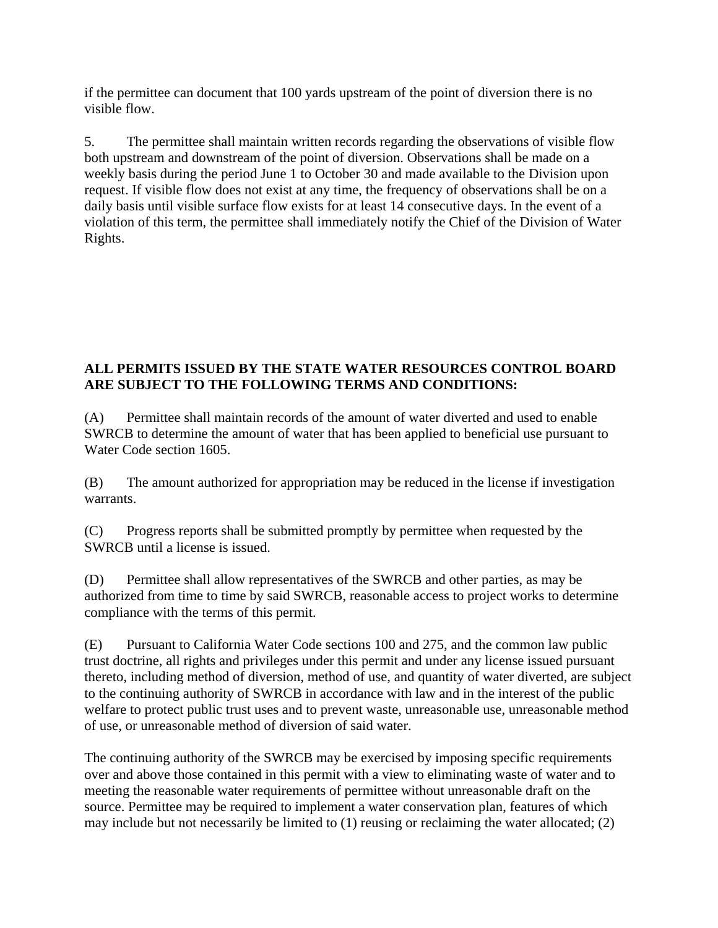if the permittee can document that 100 yards upstream of the point of diversion there is no visible flow.

5. The permittee shall maintain written records regarding the observations of visible flow both upstream and downstream of the point of diversion. Observations shall be made on a weekly basis during the period June 1 to October 30 and made available to the Division upon request. If visible flow does not exist at any time, the frequency of observations shall be on a daily basis until visible surface flow exists for at least 14 consecutive days. In the event of a violation of this term, the permittee shall immediately notify the Chief of the Division of Water Rights.

### **ALL PERMITS ISSUED BY THE STATE WATER RESOURCES CONTROL BOARD ARE SUBJECT TO THE FOLLOWING TERMS AND CONDITIONS:**

(A) Permittee shall maintain records of the amount of water diverted and used to enable SWRCB to determine the amount of water that has been applied to beneficial use pursuant to Water Code section 1605.

(B) The amount authorized for appropriation may be reduced in the license if investigation warrants.

(C) Progress reports shall be submitted promptly by permittee when requested by the SWRCB until a license is issued.

(D) Permittee shall allow representatives of the SWRCB and other parties, as may be authorized from time to time by said SWRCB, reasonable access to project works to determine compliance with the terms of this permit.

(E) Pursuant to California Water Code sections 100 and 275, and the common law public trust doctrine, all rights and privileges under this permit and under any license issued pursuant thereto, including method of diversion, method of use, and quantity of water diverted, are subject to the continuing authority of SWRCB in accordance with law and in the interest of the public welfare to protect public trust uses and to prevent waste, unreasonable use, unreasonable method of use, or unreasonable method of diversion of said water.

The continuing authority of the SWRCB may be exercised by imposing specific requirements over and above those contained in this permit with a view to eliminating waste of water and to meeting the reasonable water requirements of permittee without unreasonable draft on the source. Permittee may be required to implement a water conservation plan, features of which may include but not necessarily be limited to (1) reusing or reclaiming the water allocated; (2)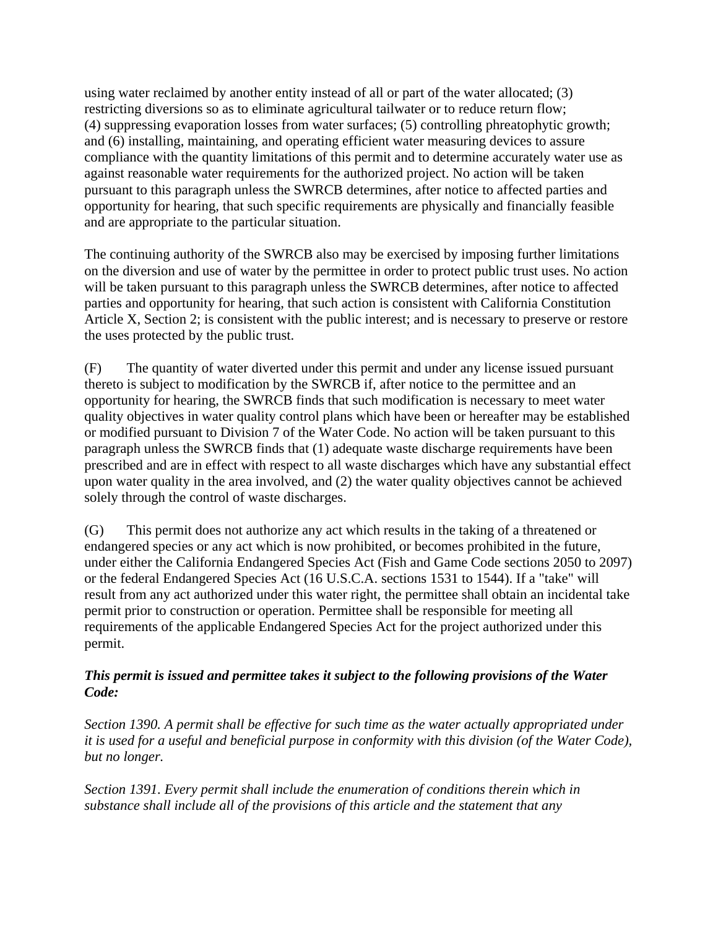using water reclaimed by another entity instead of all or part of the water allocated; (3) restricting diversions so as to eliminate agricultural tailwater or to reduce return flow; (4) suppressing evaporation losses from water surfaces; (5) controlling phreatophytic growth; and (6) installing, maintaining, and operating efficient water measuring devices to assure compliance with the quantity limitations of this permit and to determine accurately water use as against reasonable water requirements for the authorized project. No action will be taken pursuant to this paragraph unless the SWRCB determines, after notice to affected parties and opportunity for hearing, that such specific requirements are physically and financially feasible and are appropriate to the particular situation.

The continuing authority of the SWRCB also may be exercised by imposing further limitations on the diversion and use of water by the permittee in order to protect public trust uses. No action will be taken pursuant to this paragraph unless the SWRCB determines, after notice to affected parties and opportunity for hearing, that such action is consistent with California Constitution Article X, Section 2; is consistent with the public interest; and is necessary to preserve or restore the uses protected by the public trust.

(F) The quantity of water diverted under this permit and under any license issued pursuant thereto is subject to modification by the SWRCB if, after notice to the permittee and an opportunity for hearing, the SWRCB finds that such modification is necessary to meet water quality objectives in water quality control plans which have been or hereafter may be established or modified pursuant to Division 7 of the Water Code. No action will be taken pursuant to this paragraph unless the SWRCB finds that (1) adequate waste discharge requirements have been prescribed and are in effect with respect to all waste discharges which have any substantial effect upon water quality in the area involved, and (2) the water quality objectives cannot be achieved solely through the control of waste discharges.

(G) This permit does not authorize any act which results in the taking of a threatened or endangered species or any act which is now prohibited, or becomes prohibited in the future, under either the California Endangered Species Act (Fish and Game Code sections 2050 to 2097) or the federal Endangered Species Act (16 U.S.C.A. sections 1531 to 1544). If a "take" will result from any act authorized under this water right, the permittee shall obtain an incidental take permit prior to construction or operation. Permittee shall be responsible for meeting all requirements of the applicable Endangered Species Act for the project authorized under this permit.

### *This permit is issued and permittee takes it subject to the following provisions of the Water Code:*

*Section 1390. A permit shall be effective for such time as the water actually appropriated under it is used for a useful and beneficial purpose in conformity with this division (of the Water Code), but no longer.* 

*Section 1391. Every permit shall include the enumeration of conditions therein which in substance shall include all of the provisions of this article and the statement that any*